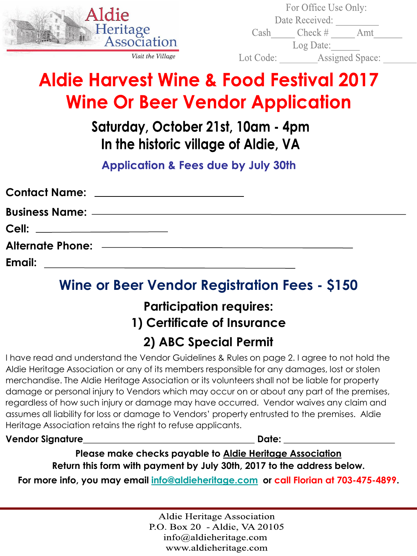

| For Office Use Only: |                        |     |  |
|----------------------|------------------------|-----|--|
|                      | Date Received:         |     |  |
| Cash                 | $Check \#$             | Amt |  |
|                      | Log Date:              |     |  |
| Lot Code:            | <b>Assigned Space:</b> |     |  |
|                      |                        |     |  |

# **Aldie Harvest Wine & Food Festival 2017 Wine Or Beer Vendor Application**

### Saturday, October 21st, 10am - 4pm In the historic village of Aldie, VA

**Application & Fees due by July 30th** 

| Contact Name: _______________________ |  |
|---------------------------------------|--|
|                                       |  |
| Cell: _______________________         |  |
|                                       |  |
| Email:                                |  |

### **Wine or Beer Vendor Registration Fees - \$150**

#### **Participation requires: 1) Certificate of Insurance 2) ABC Special Permit**

I have read and understand the Vendor Guidelines & Rules on page 2. I agree to not hold the Aldie Heritage Association or any of its members responsible for any damages, lost or stolen merchandise. The Aldie Heritage Association or its volunteers shall not be liable for property damage or personal injury to Vendors which may occur on or about any part of the premises, regardless of how such injury or damage may have occurred. Vendor waives any claim and assumes all liability for loss or damage to Vendors' property entrusted to the premises. Aldie Heritage Association retains the right to refuse applicants.

**Vendor Signature**\_\_\_\_\_\_\_\_\_\_\_\_\_\_\_\_\_\_\_\_\_\_\_\_\_\_\_\_\_\_\_\_\_\_\_\_\_ **Date:** \_\_\_\_\_\_\_\_\_\_\_\_\_\_\_\_\_\_\_\_\_\_\_\_

**Please make checks payable to Aldie Heritage Association Return this form with payment by July 30th, 2017 to the address below.** 

**For more info, you may email [info@aldieheritage.com](mailto:info@aldieheritage.com) or call Florian at 703-475-4899.**

**Aldie Heritage Association** P.O. Box 20 - Aldie, VA 20105  $info@aldieheritage.com$ www.aldieheritage.com